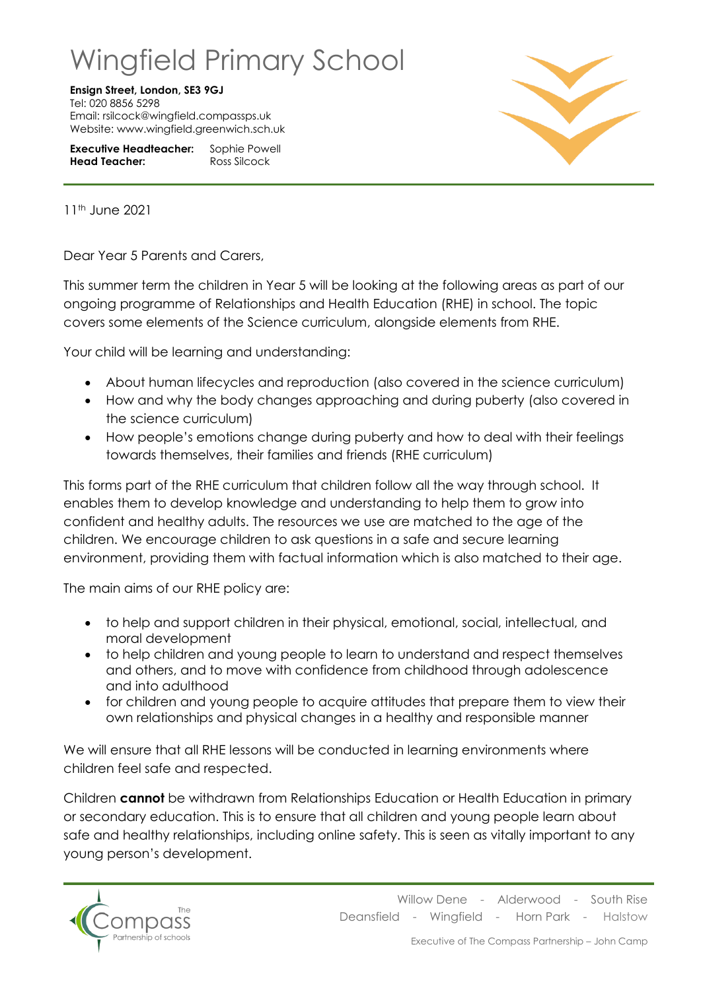## Wingfield Primary School

## **Ensign Street, London, SE3 9GJ**

Tel: 020 8856 5298 Email: rsilcock@wingfield.compassps.uk Website: www.wingfield.greenwich.sch.uk

**Executive Headteacher:** Sophie Powell **Head Teacher:** Ross Silcock



11th June 2021

Dear Year 5 Parents and Carers,

This summer term the children in Year 5 will be looking at the following areas as part of our ongoing programme of Relationships and Health Education (RHE) in school. The topic covers some elements of the Science curriculum, alongside elements from RHE.

Your child will be learning and understanding:

- About human lifecycles and reproduction (also covered in the science curriculum)
- How and why the body changes approaching and during puberty (also covered in the science curriculum)
- How people's emotions change during puberty and how to deal with their feelings towards themselves, their families and friends (RHE curriculum)

This forms part of the RHE curriculum that children follow all the way through school. It enables them to develop knowledge and understanding to help them to grow into confident and healthy adults. The resources we use are matched to the age of the children. We encourage children to ask questions in a safe and secure learning environment, providing them with factual information which is also matched to their age.

The main aims of our RHE policy are:

- to help and support children in their physical, emotional, social, intellectual, and moral development
- to help children and young people to learn to understand and respect themselves and others, and to move with confidence from childhood through adolescence and into adulthood
- for children and young people to acquire attitudes that prepare them to view their own relationships and physical changes in a healthy and responsible manner

We will ensure that all RHE lessons will be conducted in learning environments where children feel safe and respected.

Children **cannot** be withdrawn from Relationships Education or Health Education in primary or secondary education. This is to ensure that all children and young people learn about safe and healthy relationships, including online safety. This is seen as vitally important to any young person's development.